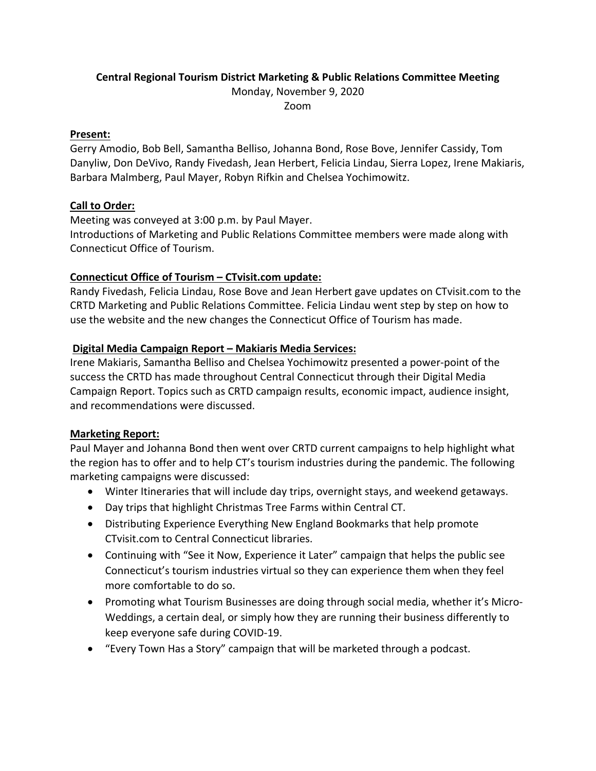# **Central Regional Tourism District Marketing & Public Relations Committee Meeting**

Monday, November 9, 2020

Zoom

#### **Present:**

Gerry Amodio, Bob Bell, Samantha Belliso, Johanna Bond, Rose Bove, Jennifer Cassidy, Tom Danyliw, Don DeVivo, Randy Fivedash, Jean Herbert, Felicia Lindau, Sierra Lopez, Irene Makiaris, Barbara Malmberg, Paul Mayer, Robyn Rifkin and Chelsea Yochimowitz.

### **Call to Order:**

Meeting was conveyed at 3:00 p.m. by Paul Mayer. Introductions of Marketing and Public Relations Committee members were made along with Connecticut Office of Tourism.

### **Connecticut Office of Tourism – CTvisit.com update:**

Randy Fivedash, Felicia Lindau, Rose Bove and Jean Herbert gave updates on CTvisit.com to the CRTD Marketing and Public Relations Committee. Felicia Lindau went step by step on how to use the website and the new changes the Connecticut Office of Tourism has made.

### **Digital Media Campaign Report – Makiaris Media Services:**

Irene Makiaris, Samantha Belliso and Chelsea Yochimowitz presented a power‐point of the success the CRTD has made throughout Central Connecticut through their Digital Media Campaign Report. Topics such as CRTD campaign results, economic impact, audience insight, and recommendations were discussed.

#### **Marketing Report:**

Paul Mayer and Johanna Bond then went over CRTD current campaigns to help highlight what the region has to offer and to help CT's tourism industries during the pandemic. The following marketing campaigns were discussed:

- Winter Itineraries that will include day trips, overnight stays, and weekend getaways.
- Day trips that highlight Christmas Tree Farms within Central CT.
- Distributing Experience Everything New England Bookmarks that help promote CTvisit.com to Central Connecticut libraries.
- Continuing with "See it Now, Experience it Later" campaign that helps the public see Connecticut's tourism industries virtual so they can experience them when they feel more comfortable to do so.
- Promoting what Tourism Businesses are doing through social media, whether it's Micro-Weddings, a certain deal, or simply how they are running their business differently to keep everyone safe during COVID‐19.
- "Every Town Has a Story" campaign that will be marketed through a podcast.